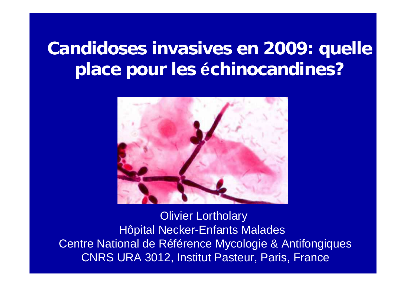# **Candidoses invasives en 2009: quelle place pour les échinocandines?**



Olivier Lortholary Hôpital Necker-Enfants Malades Centre National de Référence Mycologie & Antifongiques CNRS URA 3012, Institut Pasteur, Paris, France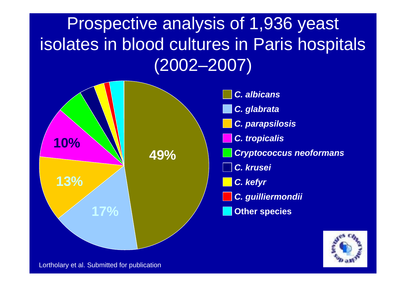# Prospective analysis of 1,936 yeast isolates in blood cultures in Paris hospitals (2002–2007)



Lortholary et al. Submitted for publication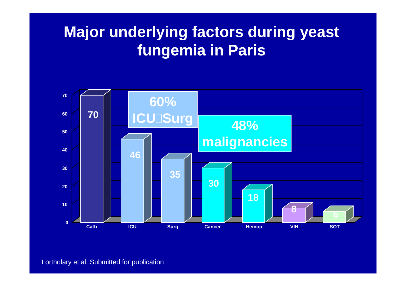## **Major underlying factors during yeast fungemia in Paris**

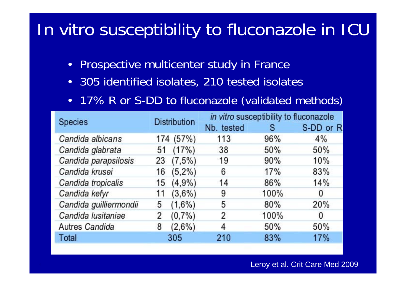# In vitro susceptibility to fluconazole in ICU

- $\bullet$ Prospective multicenter study in France
- •305 identified isolates, 210 tested isolates
- •17% R or S-DD to fluconazole (validated methods)

| <b>Species</b>         | <b>Distribution</b> | in vitro susceptibility to fluconazole |      |           |
|------------------------|---------------------|----------------------------------------|------|-----------|
|                        |                     | Nb. tested                             | s    | S-DD or R |
| Candida albicans       | 174 (57%)           | 113                                    | 96%  | 4%        |
| Candida glabrata       | (17%)<br>51         | 38                                     | 50%  | 50%       |
| Candida parapsilosis   | (7,5%)<br>23        | 19                                     | 90%  | 10%       |
| Candida krusei         | $(5,2\%)$<br>16     | 6                                      | 17%  | 83%       |
| Candida tropicalis     | (4,9%<br>15         | 14                                     | 86%  | 14%       |
| Candida kefyr          | $(3,6\%)$<br>11     | 9                                      | 100% | 0         |
| Candida guilliermondii | $(1,6\%)$<br>5      | 5                                      | 80%  | 20%       |
| Candida lusitaniae     | $(0,7\%)$<br>2      | 2                                      | 100% | 0         |
| <b>Autres Candida</b>  | $(2,6\%)$<br>8      | 4                                      | 50%  | 50%       |
| Total                  | 305                 | 210                                    | 83%  | 17%       |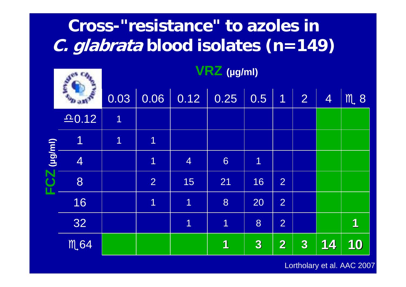## **Cross-"resistance" to azoles in C. glabrata blood isolates (n=149)**

|          |                | VRZ (µg/ml)             |                |                |                |                  |                         |                  |                |               |
|----------|----------------|-------------------------|----------------|----------------|----------------|------------------|-------------------------|------------------|----------------|---------------|
|          |                | 0.03                    | 0.06           | 0.12           | 0.25           | 0.5              | $\overline{1}$          | $\overline{2}$   | $\overline{4}$ | $M_{\star}$ 8 |
|          | 20.12          | $\overline{1}$          |                |                |                |                  |                         |                  |                |               |
|          | $\overline{1}$ | $\overline{\mathbf{1}}$ | $\overline{1}$ |                |                |                  |                         |                  |                |               |
| (lug/ml) | $\overline{4}$ |                         | $\overline{1}$ | $\overline{4}$ | 6              | $\overline{1}$   |                         |                  |                |               |
|          | 8              |                         | $\overline{2}$ | 15             | 21             | 16               | $\overline{2}$          |                  |                |               |
|          | 16             |                         | $\overline{1}$ | $\overline{1}$ | 8              | 20               | $\overline{2}$          |                  |                |               |
|          | 32             |                         |                | $\overline{1}$ | $\overline{1}$ | 8                | $\overline{2}$          |                  |                | 1             |
|          | M.64           |                         |                |                | 1              | $\boldsymbol{3}$ | $\overline{\mathbf{2}}$ | $\boldsymbol{3}$ | 14             | 10            |

Lortholary et al. AAC 2007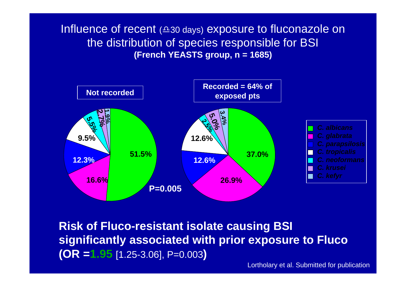Influence of recent  $(430 \text{ days})$  exposure to fluconazole on the distribution of species responsible for BSI **(French YEASTS group, n = 1685)**



**Risk of Fluco-resistant isolate causing BSI significantly associated with prior exposure to Fluco (OR =1.95** [1.25-3.06], P=0.003**)**

Lortholary et al. Submitted for publication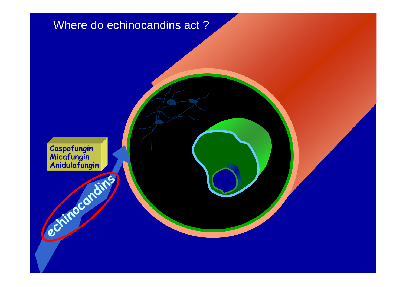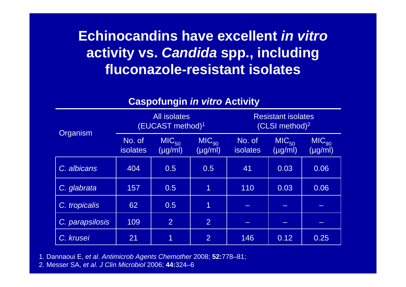### **Echinocandins have excellent** *in vitro***activity vs.** *Candida* **spp., including fluconazole-resistant isolates**

#### **Caspofungin** *in vitro* **Activity**

| Organism        |                                                         | <b>All isolates</b><br>(EUCAST method) $1$ |                           |                                   | <b>Resistant isolates</b><br>(CLSI method) <sup>2</sup> |      |
|-----------------|---------------------------------------------------------|--------------------------------------------|---------------------------|-----------------------------------|---------------------------------------------------------|------|
|                 | $MIC_{50}$<br>No. of<br>$(\mu g/ml)$<br><b>isolates</b> | $MIC_{90}$<br>$(\mu g/ml)$                 | No. of<br><b>isolates</b> | MIC <sub>50</sub><br>$(\mu g/ml)$ | $MIC_{90}$<br>$(\mu g/ml)$                              |      |
| C. albicans     | 404                                                     | 0.5                                        | 0.5                       | 41                                | 0.03                                                    | 0.06 |
| C. glabrata     | 157                                                     | 0.5                                        | $\mathbf 1$               | 110                               | 0.03                                                    | 0.06 |
| C. tropicalis   | 62                                                      | 0.5                                        | $\overline{1}$            |                                   |                                                         |      |
| C. parapsilosis | 109                                                     | $\overline{2}$                             | $\overline{2}$            |                                   |                                                         |      |
| C. krusei       | 21                                                      | 1                                          | $\overline{2}$            | 146                               | 0.12                                                    | 0.25 |

1. Dannaoui E, *et al*. *Antimicrob Agents Chemother* 2008; **52:**778–81;

2. Messer SA, *et al*. *J Clin Microbiol* 2006; **44:**324–6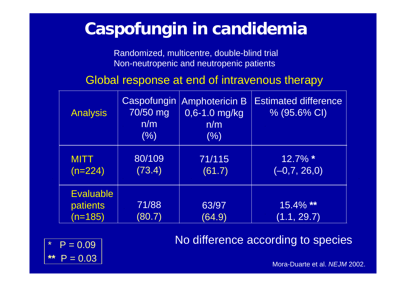## **Caspofungin in candidemia**

Randomized, multicentre, double-blind trial Non-neutropenic and neutropenic patients

Global response at end of intravenous therapy

| <b>Analysis</b>                           | Caspofungin<br>70/50 mg<br>n/m<br>(%) | <b>Amphotericin B</b><br>$0,6 - 1.0$ mg/kg<br>n/m<br>(% ) | <b>Estimated difference</b><br>% (95.6% CI) |
|-------------------------------------------|---------------------------------------|-----------------------------------------------------------|---------------------------------------------|
| <b>MITT</b><br>$(n=224)$                  | 80/109<br>(73.4)                      | 71/115<br>(61.7)                                          | 12.7% *<br>$(-0,7, 26,0)$                   |
| <b>Evaluable</b><br>patients<br>$(n=185)$ | 71/88<br>(80.7)                       | 63/97<br>(64.9)                                           | 15.4% **<br>(1.1, 29.7)                     |

No difference according to species



Mora-Duarte et al. *NEJM* 2002.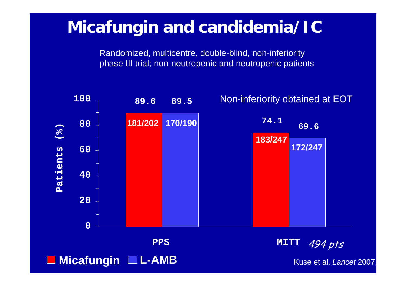### **Micafungin and candidemia/IC**

Randomized, multicentre, double-blind, non-inferiority phase III trial; non-neutropenic and neutropenic patients

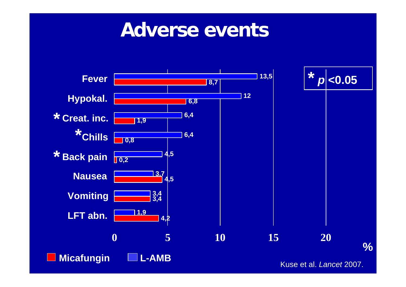## **Adverse events**

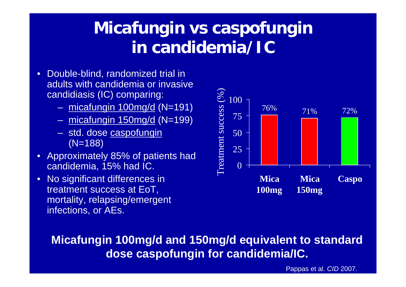## **Micafungin vs caspofungin in candidemia/IC**

- $\bullet$  Double-blind, randomized trial in adults with candidemia or invasive candidiasis (IC) comparing:
	- micafungin 100mg/d (N=191)
	- $$ micafungin 150mg/d (N=199)
	- std. dose <u>caspofungin</u> (N=188)
- $\bullet$  Approximately 85% of patients had candidemia, 15% had IC.
- $\bullet$  No significant differences in treatment success at EoT, mortality, relapsing/emergent infections, or AEs.



**Micafungin 100mg/d and 150mg/d equivalent to standard dose caspofungin for candidemia/IC.**

Pappas et al. *CID* 2007.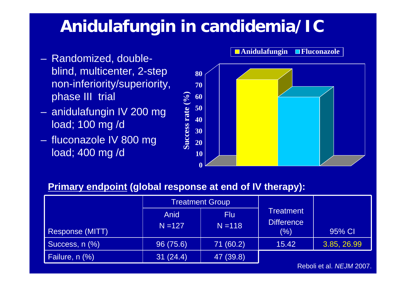## **Anidulafungin in candidemia/IC**

- $\mathcal{L}_{\mathcal{A}}$  Randomized, doubleblind, multicenter, 2-step non-inferiority/superiority, phase III trial
- anidulafungin IV 200 mg load; 100 mg /d
- fluconazole IV 800 mg load; 400 mg /d



#### **Primary endpoint (global response at end of IV therapy):**

|                        |                   | <b>Treatment Group</b>  |                                              |             |
|------------------------|-------------------|-------------------------|----------------------------------------------|-------------|
| <b>Response (MITT)</b> | Anid<br>$N = 127$ | <b>Flu</b><br>$N = 118$ | <b>Treatment</b><br><b>Difference</b><br>(%) | 95% CI      |
| Success, n (%)         | 96 (75.6)         | 71 (60.2)               | 15.42                                        | 3.85, 26.99 |
| Failure, n (%)         | 31(24.4)          | 47 (39.8)               |                                              |             |

Reboli et al. *NEJM* 2007.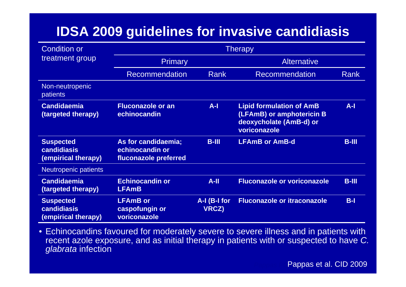#### **IDSA 2009 guidelines for invasive candidiasis**

| <b>Condition or</b>                                           | <b>Therapy</b>                                                  |                              |                                                                                                         |             |  |
|---------------------------------------------------------------|-----------------------------------------------------------------|------------------------------|---------------------------------------------------------------------------------------------------------|-------------|--|
| treatment group                                               | <b>Primary</b>                                                  |                              | <b>Alternative</b>                                                                                      |             |  |
|                                                               | <b>Recommendation</b>                                           | Rank                         | <b>Recommendation</b>                                                                                   | <b>Rank</b> |  |
| Non-neutropenic<br>patients                                   |                                                                 |                              |                                                                                                         |             |  |
| <b>Candidaemia</b><br>(targeted therapy)                      | <b>Fluconazole or an</b><br>echinocandin                        | $A-I$                        | <b>Lipid formulation of AmB</b><br>(LFAmB) or amphotericin B<br>deoxycholate (AmB-d) or<br>voriconazole | $A-I$       |  |
| <b>Suspected</b><br><b>candidiasis</b><br>(empirical therapy) | As for candidaemia;<br>echinocandin or<br>fluconazole preferred | $B-III$                      | <b>LFAmB or AmB-d</b>                                                                                   | $B-HI$      |  |
| Neutropenic patients                                          |                                                                 |                              |                                                                                                         |             |  |
| <b>Candidaemia</b><br>(targeted therapy)                      | <b>Echinocandin or</b><br><b>LFAmB</b>                          | $A-H$                        | <b>Fluconazole or voriconazole</b>                                                                      | $B-III$     |  |
| <b>Suspected</b><br><b>candidiasis</b><br>(empirical therapy) | <b>LFAmB</b> or<br>caspofungin or<br>voriconazole               | A-I (B-I for<br><b>VRCZ)</b> | <b>Fluconazole or itraconazole</b>                                                                      | $B-I$       |  |

• Echinocandins favoured for moderately severe to severe illness and in patients with recent azole exposure, and as initial therapy in patients with or suspected to have *C. glabrata* infection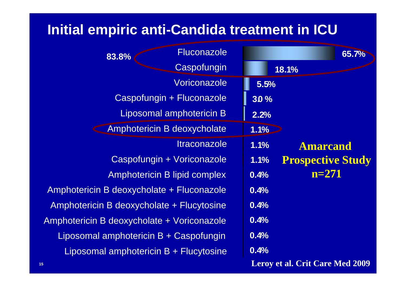#### **Initial empiric anti-Candida treatment in ICU**

| 65.7%                                  |      | <b>Fluconazole</b><br>83.8%                |  |
|----------------------------------------|------|--------------------------------------------|--|
| 18.1%                                  |      | Caspofungin                                |  |
|                                        | 5.5% | Voriconazole                               |  |
|                                        | 30%  | Caspofungin + Fluconazole                  |  |
|                                        | 2.2% | <b>Liposomal amphotericin B</b>            |  |
|                                        | 1.1% | Amphotericin B deoxycholate                |  |
| <b>Amarcand</b>                        | 1.1% | <i><u><b>Itraconazole</b></u></i>          |  |
| <b>Prospective Study</b>               | 1.1% | Caspofungin + Voriconazole                 |  |
| $n = 271$                              | 0.4% | Amphotericin B lipid complex               |  |
|                                        | 0.4% | Amphotericin B deoxycholate + Fluconazole  |  |
|                                        | 0.4% | Amphotericin B deoxycholate + Flucytosine  |  |
|                                        | 0.4% | Amphotericin B deoxycholate + Voriconazole |  |
|                                        | 0.4% | Liposomal amphotericin B + Caspofungin     |  |
|                                        | 0.4% | Liposomal amphotericin B + Flucytosine     |  |
| <b>Leroy et al. Crit Care Med 2009</b> |      |                                            |  |